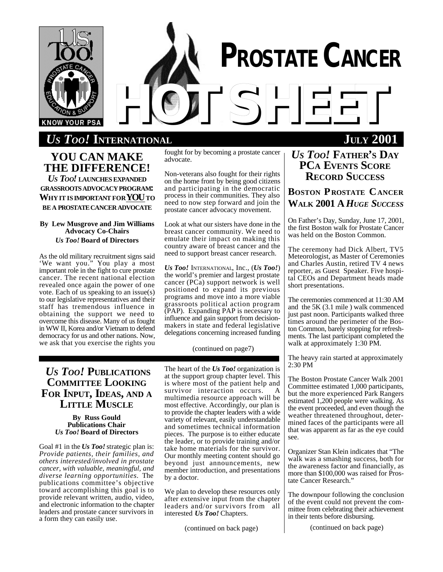

# *HOTSHEET US TOO!* **INTERNATIONAL JULY 2001**

**YOU CAN MAKE THE DIFFERENCE!** *US TOO!* **LAUNCHES EXPANDED GRASSROOTSADVOCACYPROGRAM: WHYITISIMPORTANTFORYOUTO BEA PROSTATE CANCER ADVOCATE** 

#### **By Lew Musgrove and Jim Williams Advocacy Co-Chairs** *Us Too!* **Board of Directors**

As the old military recruitment signs said 'We want you." You play a most important role in the fight to cure prostate cancer. The recent national election revealed once again the power of one vote. Each of us speaking to an issue(s) to our legislative representatives and their staff has tremendous influence in obtaining the support we need to overcome this disease. Many of us fought in WW II, Korea and/or Vietnam to defend democracy for us and other nations. Now, we ask that you exercise the rights you fought for by becoming a prostate cancer advocate.

Non-veterans also fought for their rights on the home front by being good citizens and participating in the democratic process in their communities. They also need to now step forward and join the prostate cancer advocacy movement.

Look at what our sisters have done in the breast cancer community. We need to emulate their impact on making this country aware of breast cancer and the need to support breast cancer research.

*Us Too!* INTERNATIONAL, Inc., (*Us Too!*) the world's premier and largest prostate cancer (PCa) support network is well positioned to expand its previous programs and move into a more viable grassroots political action program (PAP). Expanding PAP is necessary to influence and gain support from decisionmakers in state and federal legislative delegations concerning increased funding

(continued on page7)

# *US TOO!* **PUBLICATIONS COMMITTEE LOOKING FOR INPUT, IDEAS, AND A LITTLE MUSCLE**

#### **By Russ Gould Publications Chair** *Us Too!* **Board of Directors**

Goal #1 in the *Us Too!* strategic plan is: *Provide patients, their families, and others interested/involved in prostate cancer, with valuable, meaningful, and diverse learning opportunities.* The publications committee's objective toward accomplishing this goal is to provide relevant written, audio, video, and electronic information to the chapter leaders and prostate cancer survivors in a form they can easily use.

The heart of the *Us Too!* organization is at the support group chapter level. This is where most of the patient help and survivor interaction occurs. A multimedia resource approach will be most effective. Accordingly, our plan is to provide the chapter leaders with a wide variety of relevant, easily understandable and sometimes technical information pieces. The purpose is to either educate the leader, or to provide training and/or take home materials for the survivor. Our monthly meeting content should go beyond just announcements, new member introduction, and presentations by a doctor.

We plan to develop these resources only after extensive input from the chapter leaders and/or survivors from all interested *Us Too!* Chapters.

(continued on back page)

# *US TOO!* **FATHER'S DAY**

**PCA EVENTS SCORE RECORD SUCCESS**

**PROSTATE CANCER**

# **BOSTON P ROSTATE CANCER WALK 2001 A** *HUGE SUCCESS*

On Father's Day, Sunday, June 17, 2001, the first Boston walk for Prostate Cancer was held on the Boston Common.

The ceremony had Dick Albert, TV5 Meteorologist, as Master of Ceremonies and Charles Austin, retired TV 4 news reporter, as Guest Speaker. Five hospital CEOs and Department heads made short presentations.

The ceremonies commenced at 11:30 AM and the 5K (3.1 mile ) walk commenced just past noon. Participants walked three times around the perimeter of the Boston Common, barely stopping for refreshments. The last participant completed the walk at approximately 1:30 PM.

The heavy rain started at approximately 2:30 PM

The Boston Prostate Cancer Walk 2001 Committee estimated 1,000 participants, but the more experienced Park Rangers estimated 1,200 people were walking. As the event proceeded, and even though the weather threatened throughout, determined faces of the participants were all that was apparent as far as the eye could see.

Organizer Stan Klein indicates that "The walk was a smashing success, both for the awareness factor and financially, as more than \$100,000 was raised for Prostate Cancer Research.'

The downpour following the conclusion of the event could not prevent the committee from celebrating their achievement in their tents before disbursing.

(continued on back page)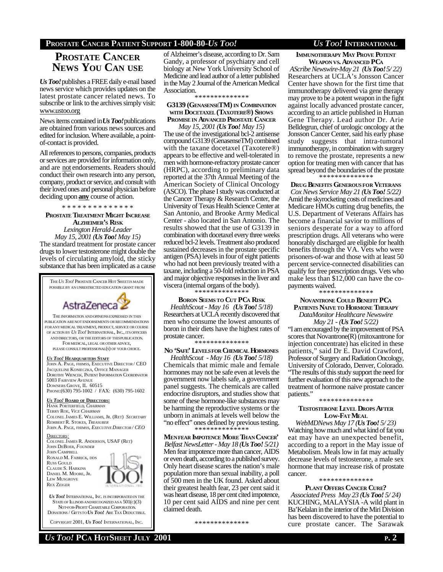### **PROSTATE CANCER PATIENT SUPPORT 1-800-80-***US TOO! US TOO!* **INTERNATIONAL**

# **PROSTATE CANCER NEWS YOU CAN USE**

*Us Too!*publishes a FREE daily e-mail based news service which provides updates on the latest prostate cancer related news. To subscribe or link to the archives simply visit: www.ustoo.org

News items contained in *Us Too!*publications are obtained from various news sources and edited for inclusion. Where available, a pointof-contact is provided.

All references to persons, companies, products or services are provided for information only, and are not endorsements. Readers should conduct their own research into any person, company, product or service, and consult with their loved ones and personal physician before deciding upon **any** course of action.

\* \* \* \* \* \* \* \* \* \* \* \* \* \*

**PROSTATE TREATMENT MIGHT INCREASE ALZHEIMER'S RISK** *Lexington Herald-Leader May 15, 2001 (Us Too! May 15)* The standard treatment for prostate cancer drugs to lower testosterone might double the levels of circulating amyloid, the sticky substance that has been implicated as a cause

THE*US TOO!* PROSTATE CANCER HOT SHEETIS MADE POSSIBLE BY AN UNRESTRICTED EDUCATION GRANT FROM AstraZeneca THE INFORMATION ANDOPINIONSEXPRESSED IN THIS PUBLICATION ARE NOT ENDORSEMENTS OR RECOMMENDATIONS FOR ANY MEDICAL TREATMENT, PRODUCT, SERVICE OR COURSE OF ACTION BY *US TOO!* INTERNATIONAL, INC., ITS OFFICERS AND DIRECTORS, OR THE EDITORS OF THISPUBLICATION. FOR MEDICAL, LEGAL OR OTHER ADVICE, PLEASE CONSULT PROFESSIONAL(S) OF YOUR CHOICE. *US TOO!* **HEADQUARTERS STAFF** JOHN A. PAGE, FHIMSS, EXECUTIVE DIRECTOR / CEO JACQUELINE KONIECZKA, OFFICE MANAGER DOROTHY WIENCEK, PATIENT INFORMATION COORDINATOR 5003 FAIRVIEW AVENUE DOWNERS GROVE, IL 60515 PHONE:(630) 795-1002 / FAX: (630) 795-1602

*US TOO!* **BOARD OF DIRECTORS:** HANK PORTERFIELD, *CHAIRMAN* TERRY ROE, *VICE CHAIRMAN* COLONEL JAMES E. WILLIAMS, JR. (RET) *SECRETARY* REMBERT R. STOKES, *TREASURER* JOHN A. PAGE, FHIMSS, *EXECUTIVE DIRECTOR / CEO*

DIRECTORS: COLONEL JAMES R. ANDERSON, USAF (RET) JOHN DEBOER, *FOUNDER* JOHN CAMPBELL RONALD M. FABRICK, DDS RUSS GOULD CLAUDE S. HARKINS DANIEL M. MOORE, JR. LEW MUSGROVE REX ZEIGER

*US TOO!* INTERNATIONAL, INC. IS INCORPORATED IN THE STATE OF ILLINOIS AND RECOGNIZED AS A  $501(c)(3)$  NOT-FOR-PROFIT CHARITABLE CORPORATION. DONATIONS / GIFTSTO *US TOO!* ARE TAX DEDUCTIBLE.

COPYRIGHT 2001, *US TOO!* INTERNATIONAL, INC.

of Alzheimer's disease, according to Dr. Sam Gandy, a professor of psychiatry and cell biology at New York University School of Medicine and lead author of a letter published in the May 2 Journal of the American Medical Association.

\* \* \* \* \* \* \* \* \* \* \* \* \* \*

#### **G3139 (GENASENSETM) IN COMBINATION WITH DOCETAXEL (TAXOTERE®) SHOWS PROMISE IN ADVANCED PROSTATE CANCER**

*May 15, 2001 (Us Too! May 15)* The use of the investigational bcl-2 antisense compound G3139 (GenasenseTM) combined with the taxane docetaxel (Taxotere®) appears to be effective and well-tolerated in men with hormone-refractory prostate cancer (HRPC), according to preliminary data reported at the 37th Annual Meeting of the American Society of Clinical Oncology (ASCO). The phase I study was conducted at the Cancer Therapy & Research Center, the University of Texas Health Science Center at San Antonio, and Brooke Army Medical Center - also located in San Antonio. The results showed that the use of G3139 in combination with docetaxel every three weeks reduced bcl-2 levels. Treatment also produced sustained decreases in the prostate specific antigen (PSA) levels in four of eight patients who had not been previously treated with a taxane, including a 50-fold reduction in PSA and major objective responses in the liver and viscera (internal organs of the body).

\* \* \* \* \* \* \* \* \* \* \* \* \* \*

**BORON SEEMS TO CUT PCA RISK** *HealthScout - May 16 (Us Too! 5/18)* Researchers at UCLA recently discovered that men who consume the lowest amounts of boron in their diets have the highest rates of prostate cancer.

\* \* \* \* \* \* \* \* \* \* \* \* \* \*

#### **NO 'SAFE' LEVELSFOR CHEMICAL HORMONES**

*HealthScout - May 16 (Us Too! 5/18)* Chemicals that mimic male and female hormones may not be safe even at levels the government now labels safe, a government panel suggests. The chemicals are called endocrine disruptors, and studies show that some of these hormone-like substances may be harming the reproductive systems or the unborn in animals at levels well below the "no effect" ones defined by previous testing. \* \* \* \* \* \* \* \* \* \* \* \* \* \*

**MENFEAR IMPOTENCE MORE THAN CANCER'** *Belfast NewsLetter - May 18 (Us Too! 5/21)* Men fear impotence more than cancer, AIDS or even death, according to a published survey. Only heart disease scares the nation's male population more than sexual inability, a poll of 500 men in the UK found. Asked about their greatest health fear, 23 per cent said it was heart disease, 18 per cent cited impotence, 10 per cent said AIDS and nine per cent claimed death.

\* \* \* \* \* \* \* \* \* \* \* \* \*

**IMMUNOTHERAPY MAY PROVE POTENT WEAPON VS. ADVANCED PC<sup>A</sup>**

*AScribe Newswire-May 21 (Us Too! 5/ 22)* Researchers at UCLA's Jonsson Cancer Center have shown for the first time that immunotherapy delivered via gene therapy may prove to be a potent weapon in the fight against locally advanced prostate cancer, according to an article published in Human Gene Therapy. Lead author Dr. Arie Belldegrun, chief of urologic oncology at the Jonsson Cancer Center, said his early phase study suggests that intra-tumoral immunotherapy, in combination with surgery to remove the prostate, represents a new option for treating men with cancer that has spread beyond the boundaries of the prostate \* \* \* \* \* \* \* \* \* \* \* \* \* \*

**DRUG BENEFITS GENEROUSFOR VETERANS**

*Cox News Service May 21 (Us Too! 5/22)* Amid the skyrocketing costs of medicines and Medicare HMOs cutting drug benefits, the U.S. Department of Veterans Affairs has become a financial savior to millions of seniors desperate for a way to afford prescription drugs. All veterans who were honorably discharged are eligible for health benefits through the VA. Vets who were prisoners-of-war and those with at least 50 percent service-connected disabilities can qualify for free prescription drugs. Vets who make less than \$12,000 can have the copayments waived.

\* \* \* \* \* \* \* \* \* \* \* \* \*

**NOVANTRONE COULD BENEFIT PC<sup>A</sup> PATIENTS NAIVE TO HORMONE THERAPY** *DataMonitor Healthcare Newswire*

*May 21 - (Us Too! 5/22)* "I am encouraged by the improvement of PSA scores that Novantrone(R) (mitoxantrone for injection concentrate) has elicited in these patients," said Dr E. David Crawford, Professor of Surgery and Radiation Oncology, University of Colorado, Denver, Colorado. "The results of this study support the need for further evaluation of this new approach to the treatment of hormone naive prostate cancer patients."

#### \*\*\*\*\*\*\*\*\*\*\*\*\*\* **TESTOSTERONE LEVEL DROPS AFTER LOW-FAT MEAL**

*WebMDNews May 17 (Us Too! 5/ 23)* Watching how much and what kind of fat you eat may have an unexpected benefit, according to a report in the May issue of Metabolism. Meals low in fat may actually decrease levels of testosterone, a male sex hormone that may increase risk of prostate cancer. \* \* \* \* \* \* \* \* \* \* \* \* \* \*

**PLANT OFFERS CANCER CURE?**

*Associated Press May 23 (Us Too! 5/ 24)* KUCHING, MALAYSIA -A wild plant in Ba'Kelalan in the interior of the Miri Division has been discovered to have the potential to cure prostate cancer. The Sarawak

*US TOO!* **PCA HOTSHEET JULY 2001 P. 2**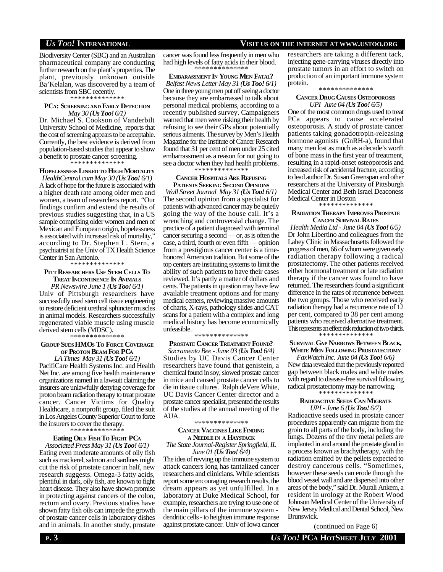Biodiversity Center (SBC) and an Australian pharmaceutical company are conducting further research on the plant's properties. The plant, previously unknown outside Ba'Kelalan, was discovered by a team of scientists from SBC recently.

\* \* \* \* \* \* \* \* \* \* \* \* \* \*

#### **PCA: SCREENING AND EARLY DETECTION** *May 30 (Us Too! 6/1)*

Dr. Michael S. Cookson of Vanderbilt University School of Medicine, reports that the cost of screening appears to be acceptable. Currently, the best evidence is derived from population-based studies that appear to show a benefit to prostate cancer screening.

\* \* \* \* \* \* \* \* \* \* \* \* \* \*

#### **HOPELESSNESS LINKED TO HIGH MORTALITY**

*HealthCentral.com May 30 (Us Too! 6/1)* A lack of hope for the future is associated with a higher death rate among older men and women, a team of researchers report. "Our findings confirm and extend the results of previous studies suggesting that, in a US sample comprising older women and men of Mexican and European origin, hopelessness is associated with increased risk of mortality, according to Dr. Stephen L. Stern, a psychiatrist at the Univ of TX Health Science Center in San Antonio.

#### \* \* \* \* \* \* \* \* \* \* \* \* \* \*

#### **PITT RESEARCHERS USE STEM CELLS T<sup>O</sup> TREAT INCONTINENCE IN ANIMALS**

*PR Newswire June 1 (Us Too! 6/1)* Univ of Pittsburgh researchers have successfully used stem cell tissue engineering to restore deficient urethral sphincter muscles in animal models. Researchers successfully regenerated viable muscle using muscle derived stem cells (MDSC).

#### \* \* \* \* \* \* \* \* \* \* \* \* \* \*

#### **GROUP SUES HMOS TO FORCE COVERAGE OF PROTON BEAM FOR PC<sup>A</sup>**

*LA Times May 31 (Us Too! 6/1)* PacifiCare Health Systems Inc. and Health Net Inc. are among five health maintenance organizations named in a lawsuit claiming the insurers are unlawfully denying coverage for proton beam radiation therapy to treat prostate cancer. Cancer Victims for Quality Healthcare, a nonprofit group, filed the suit in Los Angeles County Superior Court to force the insurers to cover the therapy.

#### \* \* \* \* \* \* \* \* \* \* \* \* \* \*

#### **Eating OILY FISH TO FIGHT PC<sup>A</sup>**

*Associated Press May 31 (Us Too! 6/1)* Eating even moderate amounts of oily fish such as mackerel, salmon and sardines might cut the risk of prostate cancer in half, new research suggests. Omega-3 fatty acids, plentiful in dark, oily fish, are known to fight heart disease. They also have shown promise in protecting against cancers of the colon, rectum and ovary. Previous studies have shown fatty fish oils can impede the growth of prostate cancer cells in laboratory dishes and in animals. In another study, prostate

#### cancer was found less frequently in men who had high levels of fatty acids in their blood. .<br>\* \* \* \* \* \* \* \*

**EMBARASSMENT IN YOUNG MEN FATAL?** *Belfast News Letter May 31 (Us Too! 6/1)* One in three young men put off seeing a doctor because they are embarrassed to talk about personal medical problems, according to a recently published survey. Campaigners warned that men were risking their health by refusing to see their GPs about potentially serious ailments. The survey by Men's Health Magazine for the Institute of Cancer Research found that 31 per cent of men under 25 cited embarrassment as a reason for not going to see a doctor when they had health problems. \* \* \* \* \* \* \* \* \* \* \* \* \* \*

#### **CANCER HOSPITALS ARE REFUSING PATIENTS SEEKING SECOND OPINIONS**

*Wall Street Journal May 31 (Us Too! 6/1)* The second opinion from a specialist for patients with advanced cancer may be quietly going the way of the house call. It's a wrenching and controversial change. The practice of a patient diagnosed with terminal cancer securing a second — or, as is often the case, a third, fourth or even fifth — opinion from a prestigious cancer center is a timehonored American tradition. But some of the top centers are instituting systems to limit the ability of such patients to have their cases reviewed. It's partly a matter of dollars and cents. The patients in question may have few available treatment options and for many medical centers, reviewing massive amounts of charts, X-rays, pathology slides and CAT scans for a patient with a complex and long medical history has become economically unfeasible.

#### \* \* \* \* \* \* \* \* \* \* \* \* \* \*

#### **PROSTATE CANCER TREATMENT FOUND?**

*Sacramento Bee - June 03 (Us Too! 6/4)* Studies by UC Davis Cancer Center researchers have found that genistein, a chemical found in soy, slowed prostate cancer in mice and caused prostate cancer cells to die in tissue cultures. Ralph deVere White, UC Davis Cancer Center director and a prostate cancer specialist, presented the results of the studies at the annual meeting of the AUA.

#### \* \* \* \* \* \* \* \* \* \* \* \* \* \*

#### **CANCER VACCINES LIKE FINDING <sup>A</sup> NEEDLE IN <sup>A</sup> HAYSTACK** *The State Journal-Register Springfield, IL*

*June 01 (Us Too! 6/4)*

The idea of revving up the immune system to attack cancers long has tantalized cancer researchers and clinicians. While scientists report some encouraging research results, the dream appears as yet unfulfilled. In a laboratory at Duke Medical School, for example, researchers are trying to use one of the main pillars of the immune system dendritic cells - to heighten immune response against prostate cancer. Univ of Iowa cancer

#### researchers are taking a different tack, injecting gene-carrying viruses directly into prostate tumors in an effort to switch on production of an important immune system

#### protein. \* \* \* \* \* \* \* \* \* \* \* \* \* \*

#### **CANCER DRUG CAUSES OSTEOPOROSIS** *UPI June 04 (Us Too! 6/5)*

One of the most common drugs used to treat PCa appears to cause accelerated osteoporosis. A study of prostate cancer patients taking gonadotropin-releasing hormone agonists (GnRH-a), found that many men lost as much as a decade's worth of bone mass in the first year of treatment, resulting in a rapid-onset osteoporosis and increased risk of accidental fracture, according to lead author Dr. Susan Greenspan and other researchers at the University of Pittsburgh Medical Center and Beth Israel Deaconess Medical Center in Boston

\* \* \* \* \* \* \* \* \* \* \* \* \* \*

#### **RADIATION THERAPY IMPROVES PROSTATE CANCER SURVIVAL RATES**

*Health Media Ltd - June 04 (Us Too! 6/5)* Dr John Libertino and colleagues from the Lahey Clinic in Massachusetts followed the progress of men, 66 of whom were given early radiation therapy following a radical prostatectomy. The other patients received either hormonal treatment or late radiation therapy if the cancer was found to have returned. The researchers found a significant difference in the rates of recurrence between the two groups. Those who received early radiation therapy had a recurrence rate of 12 per cent, compared to 38 per cent among patients who received alternative treatment. This represents an effect risk reduction of two-thirds. \* \* \* \* \* \* \* \* \* \* \* \* \* \*

#### **SURVIVAL GAP NARROWS BETWEEN BLACK, WHITE MEN FOLLOWING PROSTATECTOMY**

*FaxWatch Inc. June 04 (Us Too! 6/6)* New data revealed that the previously reported gap between black males and white males with regard to disease-free survival following radical prostatectomy may be narrowing. \* \* \* \* \* \* \* \* \* \* \* \* \* \*

#### **RADIOACTIVE SEEDS CAN MIGRATE** *UPI - June 6 (Us Too! 6/7)*

Radioactive seeds used in prostate cancer procedures apparently can migrate from the groin to all parts of the body, including the lungs. Dozens of the tiny metal pellets are implanted in and around the prostate gland in a process known as brachytherapy, with the radiation emitted by the pellets expected to destroy cancerous cells. "Sometimes, however these seeds can erode through the blood vessel wall and are dispersed into other areas of the body," said Dr. Murali Ankem, a resident in urology at the Robert Wood Johnson Medical Center of the University of New Jersey Medical and Dental School, New Brunswick.

(continued on Page 6)

## *US TOO!* **INTERNATIONAL VISIT US ON THE INTERNET AT WWW.USTOO.ORG**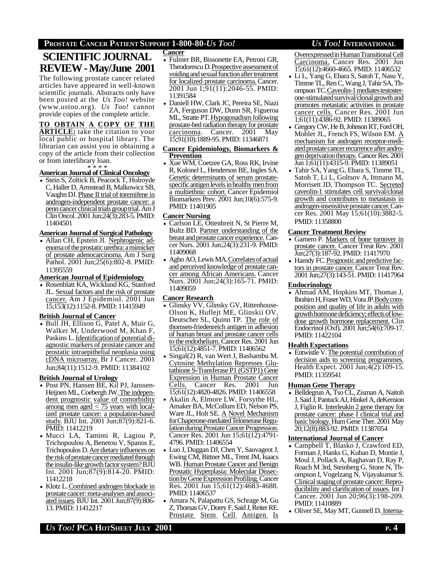#### **PROSTATE CANCER PATIENT SUPPORT 1-800-80-***US TOO! US TOO!* **INTERNATIONAL**

# **SCIENTIFIC JOURNAL REVIEW - May/June 2001**

The following prostate cancer related articles have appeared in well-known scientific journals. Abstracts only have been posted at the *Us Too!* website (www.ustoo.org). *Us Too!* cannot provide copies of the complete article.

#### **TO OBTAIN A COPY OF THE**

**ARTICLE:** take the citation to your local public or hospital library. The librarian can assist you in obtaining a copy of the article from their collection or from interlibrary loan.

# \* \* \* \* **AmericanJournal of Clinical Oncology**

• Stein S, Zoltick B, Peacock T, Holroyde C, Haller D, Armstead B, Malkowicz SB, Vaughn DJ. Phase II trial of toremifene in androgen-independent prostate cancer: a penn cancer clinical trials group trial. Am J Clin Oncol. 2001 Jun;24(3):283-5. PMID: 11404501

#### **American Journal of Surgical Pathology**

• Allan CH, Epstein JI. Nephrogenic adenoma of the prostatic urethra: a mimicker of prostate adenocarcinoma. Am J Surg Pathol. 2001 Jun;25(6):802-8. PMID: 11395559

#### **American Journal of Epidemiology**

• Rosenblatt KA, Wicklund KG, Stanford JL. Sexual factors and the risk of prostate cancer. Am J Epidemiol. 2001 Jun 15;153(12):1152-8. PMID: 11415949

#### **British Journal of Cancer**

• Bull JH, Ellison G, Patel A, Muir G, Walker M, Underwood M, Khan F, Paskins L. Identification of potential diagnostic markers of prostate cancer and prostatic intraepithelial neoplasia using cDNA microarray. Br J Cancer. 2001 Jun;84(11):1512-9. PMID: 11384102

#### **British Journal of Urology**

- Post PN, Hansen BE, Kil PJ, Janssen-Heijnen ML, Coebergh JW.The independent prognostic value of comorbidity among men aged  $\lt$  75 years with localized prostate cancer: a population-based study. BJU Int. 2001 Jun;87(9):821-6. PMID: 11412219
- Mucci LA, Tamimi R, Lagiou P, Trichopoulou A, Benetou V, Spanos E, Trichopoulos D. Are dietary influences on the risk of prostate cancer mediated through the insulin-like growth factor system? BJU Int. 2001 Jun;87(9):814-20. PMID: 11412218
- Klotz L. Combined androgen blockade in prostate cancer: meta-analyses and associated issues. BJU Int. 2001 Jun;87(9):806- 13. PMID: 11412217

#### **Cancer**

- Fulmer BR, Bissonette EA, Petroni GR, Theodorescu D. Prospective assessment of voiding and sexual function after treatment for localized prostate carcinoma. Cancer. 2001 Jun 1;91(11):2046-55. PMID: 11391584
- Daniell HW, Clark JC, Pereira SE, Niazi ZA, Ferguson DW, Dunn SR, Figueroa ML, Stratte PT. Hypogonadism following prostate-bed radiation therapy for prostate carcinoma. Cancer. 2001 May 15;91(10):1889-95. PMID: 11346871

#### **Cancer Epidemiology, Biomarkers & Prevention**

• Xue WM, Coetzee GA, Ross RK, Irvine R, Kolonel L, Henderson BE, Ingles SA. Genetic determinants of serum prostatespecific antigen levels in healthy men from a multiethnic cohort. Cancer Epidemiol Biomarkers Prev. 2001 Jun;10(6):575-9. PMID: 11401905

#### **Cancer Nursing**

- Carlson LE, Ottenbreit N, St Pierre M, Bultz BD. Partner understanding of the breast and prostate cancer experience. Cancer Nurs. 2001 Jun;24(3):231-9. PMID: 11409068
- Agho AO, Lewis MA. Correlates of actual and perceived knowledge of prostate cancer among African Americans. Cancer Nurs. 2001 Jun;24(3):165-71. PMID: 11409059

#### **Cancer Research**

- Glinsky VV, Glinsky GV, Rittenhouse-Olson K, Huflejt ME, Glinskii OV, Deutscher SL, Quinn TP. The role of thomsen-friedenreich antigen in adhesion of human breast and prostate cancer cells to the endothelium.Cancer Res. 2001 Jun 15;61(12):4851-7. PMID: 11406562
- Singal(2) R, van Wert J, Bashambu M. Cytosine Methylation Represses Glutathione S-Transferase P1 (GSTP1) Gene Expression in Human Prostate Cancer Cells. Cancer Res. 2001 Jun 15;61(12):4820-4826. PMID: 11406558
- Akalin A, Elmore LW, Forsythe HL, Amaker BA, McCollum ED, Nelson PS, Ware JL, Holt SE. A Novel Mechanism for Chaperone-mediated Telomerase Regulation during Prostate Cancer Progression. Cancer Res. 2001 Jun 15;61(12):4791- 4796. PMID: 11406554
- Luo J, Duggan DJ, Chen Y, Sauvageot J, Ewing CM, Bittner ML, Trent JM, Isaacs WB. Human Prostate Cancer and Benign Prostatic Hyperplasia: Molecular DissectionbyGeneExpressionProfiling.Cancer Res. 2001 Jun 15;61(12):4683-4688. PMID: 11406537
- Amara N, Palapattu GS, Schrage M, Gu Z, Thomas GV, Dorey F, Said J, Reiter RE. Prostate Stem Cell Antigen Is

Overexpressed in Human Transitional Cell Carcinoma. Cancer Res. 2001 Jun 15;61(12):4660-4665. PMID: 11406532

- Li L, Yang G, Ebara S, Satoh T, Nasu Y, Timme TL, Ren C, Wang J, Tahir SA, Thompson TC. Caveolin-1 mediates testosterone-stimulated survival/clonal growth and promotes metastatic activities in prostate cancer cells. Cancer Res. 2001 Jun 1;61(11):4386-92. PMID: 11389065
- Gregory CW, He B, Johnson RT, Ford OH, Mohler JL, French FS, Wilson EM. A mechanism for androgen receptor-mediated prostate cancer recurrence after androgendeprivationtherapy. Cancer Res. 2001 Jun 1;61(11):4315-9. PMID: 11389051
- Tahir SA, Yang G, Ebara S, Timme TL, Satoh T, Li L, Goltsov A, Ittmann M, Morrisett JD, Thompson TC. Secreted caveolin-1 stimulates cell survival/clonal growth and contributes to metastasis in androgen-insensitive prostate cancer. Cancer Res. 2001 May 15;61(10):3882-5. PMID: 11358800

#### **Cancer Treatment Review**

- Garnero P. Markers of bone turnover in prostate cancer. Cancer Treat Rev. 2001 Jun;27(3):187-92. PMID: 11417970
- Hamdy FC. Prognostic and predictive factors in prostate cancer. Cancer Treat Rev. 2001 Jun;27(3):143-51. PMID: 11417964

#### **Endocrinology**

• Ahmad AM, Hopkins MT, Thomas J, Ibrahim H, Fraser WD, Vora JP. Bodycomposition and quality of life in adults with growth hormone deficiency; effects of lowdose growth hormone replacement. Clin Endocrinol (Oxf). 2001 Jun;54(6):709-17. PMID: 11422104

#### **Health Expectations**

• Entwistle V. The potential contribution of decision aids to screening programmes. Health Expect. 2001 Jun;4(2):109-15. PMID: 11359541

#### **Human Gene Therapy**

• Belldegrun A, Tso CL, Zisman A, Naitoh J, Said J, Pantuck AJ, Hinkel A, deKernion J, Figlin R. Interleukin 2 gene therapy for prostate cancer: phase I clinical trial and basic biology. Hum Gene Ther. 2001 May 20;12(8):883-92. PMID: 11387054

#### **International Journal of Cancer**

- Campbell T, Blasko J, Crawford ED, Forman J, Hanks G, Kuban D, Montie J, Moul J, Pollack A, Raghavan D, Ray P, Roach M 3rd, Steinberg G, Stone N, Thompson I, Vogelzang N, Vijayakumar S. Clinical staging of prostate cancer: Reproducibility and clarification of issues. Int J Cancer. 2001 Jun 20;96(3):198-209. PMID: 11410889
- Oliver SE, May MT, Gunnell D. Interna-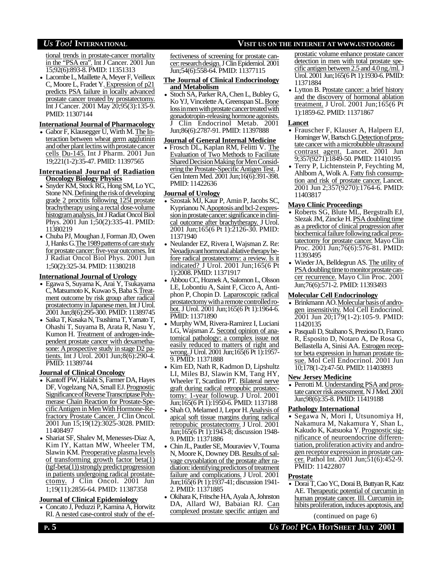tional trends in prostate-cancer mortality in the "PSA era". Int J Cancer. 2001 Jun 15;92(6):893-8. PMID: 11351313

• Lacombe L, Maillette A, Meyer F, Veilleux C, Moore L, Fradet Y. Expression of p21 predicts PSA failure in locally advanced prostate cancer treated by prostatectomy. Int J Cancer. 2001 May 20;95(3):135-9. PMID: 11307144

#### **International Journal of Pharmacology**

• Gabor F, Klausegger U, Wirth M. The Interaction between wheat germ agglutinin and other plant lectins with prostate cancer cells Du-145. Int J Pharm. 2001 Jun 19;221(1-2):35-47. PMID: 11397565

#### **International Journal of Radiation Oncology Biology Physics**

- Snyder KM, Stock RG, Hong SM, Lo YC, Stone NN. Defining the risk of developing grade 2 proctitis following 125I prostate brachytherapy using a rectal dose-volume histogramanalysis.Int J Radiat Oncol Biol Phys. 2001 Jun 1;50(2):335-41. PMID: 11380219
- Chuba PJ, Moughan J, Forman JD, Owen J, Hanks G. The 1989 patterns of care study for prostate cancer: five-year outcomes. Int J Radiat Oncol Biol Phys. 2001 Jun 1;50(2):325-34. PMID: 11380218

#### **International Journal of Urology**

- Egawa S, Suyama K, Arai Y, Tsukayama C, Matsumoto K, Kuwao S, Baba S. Treatment outcome by risk group after radical prostatectomy in Japanese men. Int J Urol. 2001 Jun;8(6):295-300. PMID: 11389745
- Saika T, Kusaka N, Tsushima T, Yamato T, Ohashi T, Suyama B, Arata R, Nasu Y, Kumon H. Treatment of androgen-independent prostate cancer with dexamethasone: A prospective study in stage D2 patients. Int J Urol. 2001 Jun;8(6):290-4. PMID: 11389744

#### **Journal of Clinical Oncology**

- Kantoff PW, Halabi S, Farmer DA, Hayes DF, Vogelzang NA, Small EJ. Prognostic Significance of Reverse Transcriptase Polymerase Chain Reaction for Prostate-SpecificAntigen in MenWith Hormone-Refractory Prostate Cancer. J Clin Oncol. 2001 Jun 15;19(12):3025-3028. PMID: 11408497
- Shariat SF, Shalev M, Menesses-Diaz A, Kim IY, Kattan MW, Wheeler TM, Slawin KM. Preoperative plasma levels of transforming growth factor beta(1)  $(tgf-beta(1))$  strongly predict progression in patients undergoing radical prostatectomy. J Clin Oncol. 2001 Jun 1;19(11):2856-64. PMID: 11387358

#### **Journal of Clinical Epidemiology**

• Concato J, Peduzzi P, Kamina A, Horwitz RI. A nested case-control study of the effectiveness of screening for prostate cancer: research design. J Clin Epidemiol. 2001 Jun;54(6):558-64. PMID: 11377115

#### **The Journal of Clinical Endocrinology and Metabolism**

• Stoch SA, Parker RA, Chen L, Bubley G, Ko YJ, Vincelette A, Greenspan SL. Bone loss in men with prostate cancer treated with gonadotropin-releasing hormone agonists. J Clin Endocrinol Metab. 2001 Jun;86(6):2787-91. PMID: 11397888

#### **Journal of General Internal Medicine**

• Frosch DL, Kaplan RM, Felitti V. The Evaluation of Two Methods to Facilitate Shared Decision Making for Men Considering the Prostate-Specific Antigen Test. J Gen Intern Med. 2001 Jun;16(6):391-398. PMID: 11422636

#### **Journal of Urology**

- Szostak MJ, Kaur P, Amin P, Jacobs SC, Kyprianou N. Apoptosis and bcl-2 expression in prostate cancer: significance in clinical outcome after brachytherapy. J Urol. 2001 Jun;165(6 Pt 1):2126-30. PMID: 11371940
- Neulander EZ, Rivera I, Wajsman Z. Re: Neoadjuvanthormonal ablative therapy before radical prostatectomy: a review. Is it indicated? J Urol. 2001 Jun;165(6 Pt 1):2008. PMID: 11371917
- Abbou CC, Hoznek A, Salomon L, Olsson LE, Lobontiu A, Saint F, Cicco A, Antiphon P, Chopin D. Laparoscopic radical prostatectomy with a remote controlled robot. J Urol. 2001 Jun;165(6 Pt 1):1964-6. PMID: 11371890
- Murphy WM, Rivera-Ramirez I, Luciani LG, Wajsman Z. Second opinion of anatomical pathology: a complex issue not easily reduced to matters of right and wrong. J Urol. 2001 Jun;165(6 Pt 1):1957-9. PMID: 11371888
- Kim ED, Nath R, Kadmon D, Lipshultz LI, Miles BJ, Slawin KM, Tang HY, Wheeler T, Scardino PT. Bilateral nerve graft during radical retropubic prostatectomy: 1-year followup. J Urol. 2001 Jun;165(6 Pt 1):1950-6. PMID: 1137188
- Shah O, Melamed J, Lepor H. Analysis of apical soft tissue margins during radical retropubic prostatectomy. J Urol. 2001 Jun;165(6 Pt 1):1943-8; discussion 1948- 9. PMID: 11371886
- Chin JL, Pautler SE, Mouraviev V, Touma N, Moore K, Downey DB. Results of salvage cryoablation of the prostate after radiation: identifying predictors of treatment failure and complications. J Urol. 2001 Jun;165(6 Pt 1):1937-41; discussion 1941- 2. PMID: 11371885
- Okihara K, Fritsche HA, Ayala A, Johnston DA, Allard WJ, Babaian RJ. Can complexed prostate specific antigen and

prostatic volume enhance prostate cancer detection in men with total prostate specific antigen between 2.5 and 4.0ng./ml. J Urol. 2001 Jun;165(6 Pt 1):1930-6. PMID: 11371884

• Lytton B. Prostate cancer: a brief history and the discovery of hormonal ablation treatment. J Urol. 2001 Jun;165(6 Pt 1):1859-62. PMID: 11371867

#### **Lancet**

- Frauscher F, Klauser A, Halpern EJ, Horninger W, Bartsch G. Detection of prostate cancer with a microbubble ultrasound contrast agent. Lancet. 2001 Jun 9;357(9271):1849-50. PMID: 11410195
- Terry P, Lichtenstein P, Feychting M, Ahlbom A, Wolk A. Fatty fish consumption and risk of prostate cancer. Lancet. 2001 Jun 2;357(9270):1764-6. PMID: 11403817

#### **Mayo Clinic Proceedings**

- Roberts SG, Blute ML, Bergstralh EJ, Slezak JM, Zincke H. PSA doubling time as a predictor of clinical progression after biochemical failure following radical prostatectomy for prostate cancer. Mayo Clin Proc. 2001 Jun;76(6):576-81. PMID: 11393495
- Wieder JA, Belldegrun AS. The utility of PSA doubling time to monitor prostate cancer recurrence. Mayo Clin Proc. 2001 Jun;76(6):571-2. PMID: 11393493

#### **Molecular Cell Endocrinology**

- Brinkmann AO. Molecular basis of androgen insensitivity. Mol Cell Endocrinol. 2001 Jun 20;179(1-2):105-9. PMID: 11420135
- Pasquali D, Staibano S, Prezioso D, Franco R, Esposito D, Notaro A, De Rosa G, Bellastella A, Sinisi AA. Estrogen receptor beta expression in human prostate tissue. Mol Cell Endocrinol. 2001 Jun 10;178(1-2):47-50. PMID: 11403893

#### **New Jersey Medicine**

• Perrotti M. Understanding PSA and prostatecancerriskassessment. N J Med. 2001 Jun;98(6):35-8. PMID: 11419188

#### **Pathology International**

• Segawa N, Mori I, Utsunomiya H, Nakamura M, Nakamura Y, Shan L, Kakudo K, Katsuoka Y. Prognostic significance of neuroendocrine differentiation, proliferation activity and androgen receptor expression in prostate cancer. Pathol Int. 2001 Jun;51(6):452-9. PMID: 11422807

#### **Prostate**

• Dorai T, Cao YC, Dorai B, Buttyan R, Katz AE. Therapeutic potential of curcumin in human prostate cancer. III. Curcumin inhibits proliferation, induces apoptosis, and

(continued on page 6)

## *US TOO!* **INTERNATIONAL VISIT US ON THE INTERNET AT WWW.USTOO.ORG**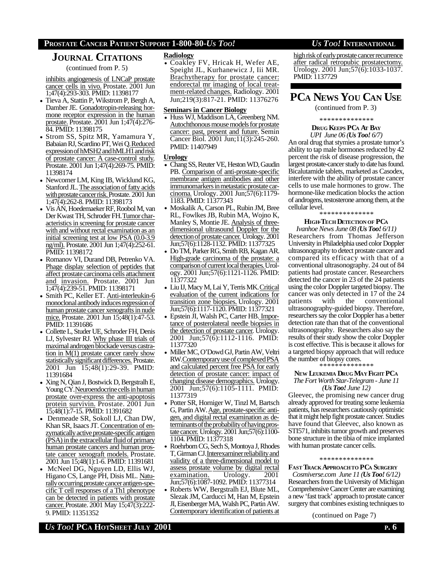#### **PROSTATE CANCER PATIENT SUPPORT 1-800-80-***US TOO! US TOO!* **INTERNATIONAL**

## **JOURNAL CITATIONS**

(continued from P. 5)

inhibits angiogenesis of LNCaP prostate cancer cells in vivo. Prostate. 2001 Jun 1;47(4):293-303. PMID: 11398177

- Tieva A, Stattin P, Wikstrom P, Bergh A, Damber JE. Gonadotropin-releasing hormone receptor expression in the human prostate. Prostate. 2001 Jun 1;47(4):276- 84. PMID: 11398175
- Strom SS, Spitz MR, Yamamura Y, Babaian RJ, Scardino PT, Wei Q.Reduced expression of hMSH2 and hMLH1 and risk of prostate cancer: A case-control study. Prostate. 2001 Jun 1;47(4):269-75. PMID: 11398174
- Newcomer LM, King IB, Wicklund KG, Stanford JL. The association of fatty acids with prostate cancer risk. Prostate. 2001 Jun 1;47(4):262-8. PMID: 11398173
- Vis AN, Hoedemaeker RF, Roobol M, van Der Kwast TH, Schroder FH. Tumor characteristics in screening for prostate cancer with and without rectal examination as an initial screening test at low PSA (0.0-3.9 ng/ml). Prostate. 2001 Jun 1;47(4):252-61. PMID: 11398172
- Romanov VI, Durand DB, Petrenko VA. Phage display selection of peptides that affect prostate carcinoma cells attachment and invasion. Prostate. 2001 Jun 1;47(4):239-51. PMID: 11398171
- Smith PC, Keller ET. Anti-interleukin-6 monoclonal antibody induces regression of human prostate cancer xenografts in nude mice. Prostate. 2001 Jun 15;48(1):47-53. PMID: 11391686
- Collette L, Studer UE, Schroder FH, Denis LJ, Sylvester RJ. Why phase III trials of maximal androgen blockade versus castration in  $M(1)$  prostate cancer rarely show statistically significant differences. Prostate. 2001 Jun 15;48(1):29-39. PMID: 11391684
- Xing N, Qian J, Bostwick D, Bergstralh E, Young CY. Neuroendocrine cells in human prostate over-express the anti-apoptosis protein survivin. Prostate. 2001 Jun 15;48(1):7-15. PMID: 11391682
- Denmeade SR, Sokoll LJ, Chan DW, Khan SR, Isaacs JT. Concentration of enzymatically active prostate-specific antigen (PSA) in the extracellular fluid of primary human prostate cancers and human prostate cancer xenograft models. Prostate. 2001 Jun 15;48(1):1-6. PMID: 11391681
- McNeel DG, Nguyen LD, Ellis WJ, Higano CS, Lange PH, Disis ML. Naturally occurring prostate cancer antigen-specific T cell responses of a Th1 phenotype can be detected in patients with prostate cancer.Prostate. 2001 May 15;47(3):222- 9. PMID: 11351352

#### **Radiology**

• Coakley FV, Hricak H, Wefer AE, Speight JL, Kurhanewicz J, Iii MR. Brachytherapy for prostate cancer: endorectal mr imaging of local treatment-related changes. Radiology. 2001 Jun;219(3):817-21. PMID: 11376276

#### **Seminars in Cancer Biology**

• Huss WJ, Maddison LA, Greenberg NM. Autochthonous mouse models for prostate cancer: past, present and future. Semin Cancer Biol. 2001 Jun;11(3):245-260. PMID: 11407949

#### **Urology**

- Chang SS, Reuter VE, Heston WD, Gaudin PB. Comparison of anti-prostate-specific membrane antigen antibodies and other immunomarkers in metastatic prostate carcinoma. Urology. 2001 Jun;57(6):1179- 1183. PMID: 11377343
- Moskalik A, Carson PL, Rubin JM, Bree RL, Fowlkes JB, Rubin MA, Wojno K, Manley S, Montie JE. Analysis of threedimensional ultrasound Doppler for the detection of prostate cancer. Urology. 2001 Jun;57(6):1128-1132. PMID: 11377325
- Do TM, Parker RG, Smith RB, Kagan AR. High-grade carcinoma of the prostate: a comparison of current local therapies. Urology. 2001 Jun;57(6):1121-1126. PMID: 11377322
- Liu IJ, Macy M, Lai Y, Terris MK. Critical evaluation of the current indications for transition zone biopsies. Urology. 2001 Jun;57(6):1117-1120. PMID: 11377321
- Epstein JI, Walsh PC, Carter HB. Importance of posterolateral needle biopsies in the detection of prostate cancer. Urology. 2001 Jun;57(6):1112-1116. PMID: 11377320
- Miller MC, O'Dowd GJ, Partin AW, Veltri RW. Contemporary use of complexed PSA and calculated percent free PSA for early detection of prostate cancer: impact of changing disease demographics. Urology. 2001 Jun;57(6):1105-1111. PMID: 11377319
- Potter SR, Horniger W, Tinzl M, Bartsch G, Partin AW. Age, prostate-specific antigen, and digital rectal examination as determinants of the probability of having prostate cancer. Urology. 2001 Jun;57(6):1100-1104. PMID: 11377318
- Roehrborn CG, Sech S, Montoya J, Rhodes T, Girman CJ. Interexaminer reliability and validity of a three-dimensional model to assess prostate volume by digital rectal examination. Urology. 2001 Jun;57(6):1087-1092. PMID: 11377314
- Roberts WW, Bergstralh EJ, Blute ML, Slezak JM, Carducci M, Han M, Epstein JI, Eisenberger MA, Walsh PC, Partin AW. Contemporary identification of patients at

high risk of early prostate cancer recurrence after radical retropubic prostatectomy. Urology. 2001 Jun;57(6):1033-1037. PMID: 1137729

# **PCA NEWS YOU CAN USE**

(continued from P. 3)

\* \* \* \* \* \* \* \* \* \* \* \* \* \*

#### **DRUG KEEPS PCA AT BAY** *UPI June 06 (Us Too! 6/7)*

An oral drug that stymies a prostate tumor's ability to tap male hormones reduced by 42 percent the risk of disease progression, the largest prostate-cancer study to date has found. Bicalutamide tablets, marketed as Casodex, interfere with the ability of prostate cancer cells to use male hormones to grow. The hormone-like medication blocks the action of androgens, testosterone among them, at the cellular level.

#### \* \* \* \* \* \* \* \* \* \* \* \* \* \*

#### **HIGH-TECH DETECTION OF PC<sup>A</sup>**

*Ivanhoe News June 08 (Us Too! 6/11)* Researchers from Thomas Jefferson University in Philadelphia used color Doppler ultrasonography to detect prostate cancer and compared its efficacy with that of a conventional ultrasonography. 24 out of 84 patients had prostate cancer. Researchers detected the cancer in 23 of the 24 patients using the color Doppler targeted biopsy. The cancer was only detected in 17 of the 24 patients with the conventional ultrasonography-guided biopsy. Therefore, researchers say the color Doppler has a better detection rate than that of the conventional ultrasonography. Researchers also say the results of their study show the color Doppler is cost effective. This is because it allows for a targeted biopsy approach that will reduce the number of biopsy cores.

\* \* \* \* \* \* \* \* \* \* \* \* \* \*

#### **NEW LEUKEMIA DRUG MAY FIGHT PC<sup>A</sup>**

#### *The Fort Worth Star-Telegram - June 11 (Us Too! June 12)*

Gleevec, the promising new cancer drug already approved for treating some leukemia patients, has researchers cautiously optimistic that it might help fight prostate cancer. Studies have found that Gleevec, also known as STI571, inhibits tumor growth and preserves bone structure in the tibia of mice implanted with human prostate cancer cells.

#### \* \* \* \* \* \* \* \* \* \* \* \* \* \*

**FAST TRACK APPROACHTO PCA SURGERY**

*Cosmiverse.com June 11 (Us Too! 6/12)* Researchers from the University of Michigan Comprehensive Cancer Center are examining a new 'fast track' approach to prostate cancer surgery that combines existing techniques to

(continued on Page 7)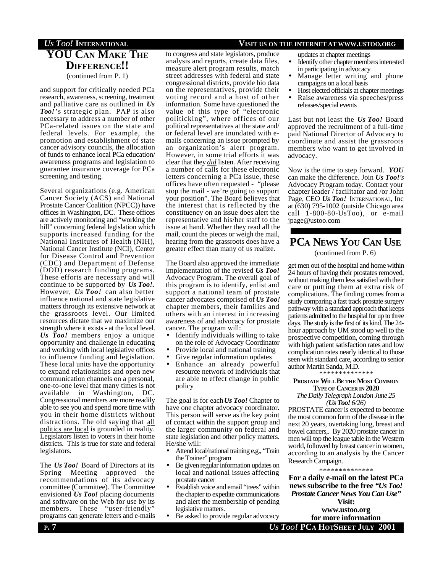## **YOU CAN MAKE THE DIFFERENCE!!** (continued from P. 1)

and support for critically needed PCa research, awareness, screening, treatment and palliative care as outlined in *Us Too!*'s strategic plan. PAP is also necessary to address a number of other PCa-related issues on the state and federal levels. For example, the promotion and establishment of state cancer advisory councils, the allocation of funds to enhance local PCa education/ awareness programs and legislation to guarantee insurance coverage for PCa screening and testing.

Several organizations (e.g. American Cancer Society (ACS) and National Prostate Cancer Coalition (NPCC)) have offices in Washington, DC. These offices are actively monitoring and "working the hill" concerning federal legislation which supports increased funding for the National Institutes of Health (NIH), National Cancer Institute (NCI), Center for Disease Control and Prevention (CDC) and Department of Defense (DOD) research funding programs. These efforts are necessary and will continue to be supported by *Us Too!.* However, *Us Too!* can also better influence national and state legislative matters through its extensive network at the grassroots level. Our limited resources dictate that we maximize our strength where it exists - at the local level. *Us Too!* members enjoy a unique opportunity and challenge in educating and working with local legislative offices to influence funding and legislation. These local units have the opportunity to expand relationships and open new communication channels on a personal, one-to-one level that many times is not available in Washington, DC. Congressional members are more readily able to see you and spend more time with you in their home districts without distractions. The old saying that all politics are local is grounded in reality. Legislators listen to voters in their home districts. This is true for state and federal legislators.

The *Us Too!* Board of Directors at its Spring Meeting approved the recommendations of its advocacy committee (Committee). The Committee envisioned *Us Too!* placing documents and software on the Web for use by its members. These "user-friendly" programs can generate letters and e-mails

#### to congress and state legislators, produce analysis and reports, create data files, measure alert program results, match street addresses with federal and state congressional districts, provide bio data on the representatives, provide their voting record and a host of other information. Some have questioned the value of this type of "electronic politicking", where offices of our political representatives at the state and/ or federal level are inundated with emails concerning an issue prompted by an organization's alert program. However, in some trial efforts it was clear that they *did* listen. After receiving a number of calls for these electronic letters concerning a PCa issue, these offices have often requested - "please stop the mail - we're going to support

your position". The Board believes that the interest that is reflected by the constituency on an issue does alert the representative and his/her staff to the issue at hand. Whether they read all the mail, count the pieces or weigh the mail, hearing from the grassroots does have a

greater effect than many of us realize.

The Board also approved the immediate implementation of the revised *Us Too!* Advocacy Program. The overall goal of this program is to identify, enlist and support a national team of prostate cancer advocates comprised of *Us Too!* chapter members, their families and others with an interest in increasing awareness of and advocacy for prostate cancer. The program will:

- Identify individuals willing to take on the role of Advocacy Coordinator
- Provide local and national training
- Give regular information updates
- Enhance an already powerful resource network of individuals that are able to effect change in public policy

The goal is for each *Us Too!* Chapter to have one chapter advocacy coordinator**.** This person will serve as the key point of contact within the support group and the larger community on federal and state legislation and other policy matters. He/she will:

- Attend local/national training e.g., "Train the Trainer" program
- Be given regular information updates on local and national issues affecting prostate cancer
- Establish voice and email "trees" within the chapter to expedite communications and alert the membership of pending legislative matters.
- Be asked to provide regular advocacy

## *US TOO!* **INTERNATIONAL VISIT US ON THE INTERNET AT WWW.USTOO.ORG**

updates at chapter meetings

- Identify other chapter members interested in participating in advocacy
- Manage letter writing and phone campaigns on a local basis
- Host elected officials at chapter meetings • Raise awareness via speeches/press releases/special events

Last but not least the *Us Too!* Board approved the recruitment of a full-time paid National Director of Advocacy to coordinate and assist the grassroots members who want to get involved in advocacy.

Now is the time to step forward. *YOU* can make the difference. Join *Us Too!'s* Advocacy Program today. Contact your chapter leader / facilitator and /or John Page, CEO *Us Too!* INTERNATIONAL, Inc at (630) 795-1002 (outside Chicago area call 1-800-80-UsToo), or e-mail jpage@ustoo.com

# **PCA NEWS YOU CAN USE**

(continued from P. 6)

get men out of the hospital and home within 24 hours of having their prostates removed, without making them less satisfied with their care or putting them at extra risk of complications. The finding comes from a study comparing a fast track prostate surgery pathway with a standard approach that keeps patients admitted to the hospital for up to three days. The study is the first of its kind. The 24 hour approach by UM stood up well to the prospective competition, coming through with high patient satisfaction rates and low complication rates nearly identical to those seen with standard care, according to senior author Martin Sanda, M.D.

\* \* \* \* \* \* \* \* \* \* \* \* \* \*

#### **PROSTATE WILL B<sup>E</sup> THE MOST COMMON TYPEOF CANCER IN 2020**

*The Daily Telegraph London June 25 (Us Too! 6/26)*

PROSTATE cancer is expected to become the most common form of the disease in the next 20 years, overtaking lung, breast and bowel cancers,. By 2020 prostate cancer in men will top the league table in the Western world, followed by breast cancer in women, according to an analysis by the Cancer Research Campaign.

#### \* \* \* \* \* \* \* \* \* \* \* \* \* \*

**For a daily e-mail on the latest PCa news subscribe to the free** *"Us Too! Prostate Cancer News You Can Use"*

**Visit: www.ustoo.org**

**P**. 7 *U<sub>S</sub>* **Too! <b>PCA H**OTSHEET JULY 2001 **for more information**